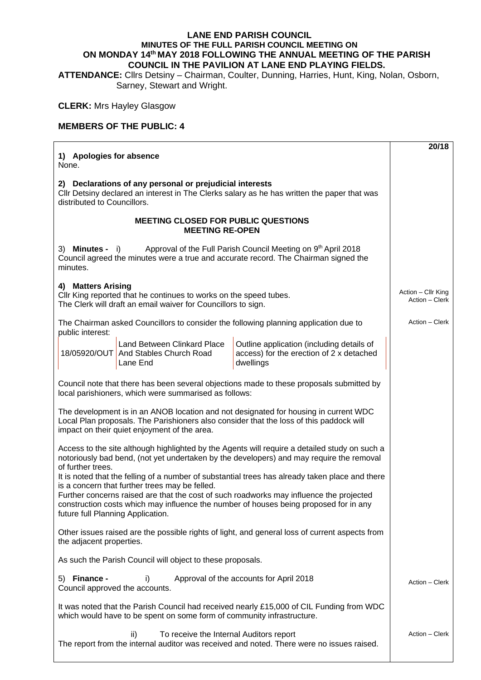## **LANE END PARISH COUNCIL MINUTES OF THE FULL PARISH COUNCIL MEETING ON ON MONDAY 14th MAY 2018 FOLLOWING THE ANNUAL MEETING OF THE PARISH COUNCIL IN THE PAVILION AT LANE END PLAYING FIELDS.**

**ATTENDANCE:** Cllrs Detsiny – Chairman, Coulter, Dunning, Harries, Hunt, King, Nolan, Osborn, Sarney, Stewart and Wright.

## **CLERK:** Mrs Hayley Glasgow

## **MEMBERS OF THE PUBLIC: 4**

|                                                                                                                                                                                                                                                                                                                                                                                                                                                                                                                                                                                              | 20/18                                |
|----------------------------------------------------------------------------------------------------------------------------------------------------------------------------------------------------------------------------------------------------------------------------------------------------------------------------------------------------------------------------------------------------------------------------------------------------------------------------------------------------------------------------------------------------------------------------------------------|--------------------------------------|
| 1) Apologies for absence<br>None.                                                                                                                                                                                                                                                                                                                                                                                                                                                                                                                                                            |                                      |
| 2) Declarations of any personal or prejudicial interests<br>Cllr Detsiny declared an interest in The Clerks salary as he has written the paper that was<br>distributed to Councillors.                                                                                                                                                                                                                                                                                                                                                                                                       |                                      |
| <b>MEETING CLOSED FOR PUBLIC QUESTIONS</b><br><b>MEETING RE-OPEN</b>                                                                                                                                                                                                                                                                                                                                                                                                                                                                                                                         |                                      |
| Approval of the Full Parish Council Meeting on 9th April 2018<br>3) Minutes -<br>$\vert$ i)<br>Council agreed the minutes were a true and accurate record. The Chairman signed the<br>minutes.                                                                                                                                                                                                                                                                                                                                                                                               |                                      |
| 4) Matters Arising<br>Cllr King reported that he continues to works on the speed tubes.<br>The Clerk will draft an email waiver for Councillors to sign.                                                                                                                                                                                                                                                                                                                                                                                                                                     | Action - Cllr King<br>Action - Clerk |
| The Chairman asked Councillors to consider the following planning application due to                                                                                                                                                                                                                                                                                                                                                                                                                                                                                                         | Action - Clerk                       |
| public interest:<br>Land Between Clinkard Place<br>Outline application (including details of<br>18/05920/OUT And Stables Church Road<br>access) for the erection of 2 x detached<br>dwellings<br>Lane End                                                                                                                                                                                                                                                                                                                                                                                    |                                      |
| Council note that there has been several objections made to these proposals submitted by<br>local parishioners, which were summarised as follows:                                                                                                                                                                                                                                                                                                                                                                                                                                            |                                      |
| The development is in an ANOB location and not designated for housing in current WDC<br>Local Plan proposals. The Parishioners also consider that the loss of this paddock will<br>impact on their quiet enjoyment of the area.                                                                                                                                                                                                                                                                                                                                                              |                                      |
| Access to the site although highlighted by the Agents will require a detailed study on such a<br>notoriously bad bend, (not yet undertaken by the developers) and may require the removal<br>of further trees.<br>It is noted that the felling of a number of substantial trees has already taken place and there<br>is a concern that further trees may be felled.<br>Further concerns raised are that the cost of such roadworks may influence the projected<br>construction costs which may influence the number of houses being proposed for in any<br>future full Planning Application. |                                      |
| Other issues raised are the possible rights of light, and general loss of current aspects from<br>the adjacent properties.                                                                                                                                                                                                                                                                                                                                                                                                                                                                   |                                      |
| As such the Parish Council will object to these proposals.                                                                                                                                                                                                                                                                                                                                                                                                                                                                                                                                   |                                      |
| 5) Finance -<br>Approval of the accounts for April 2018<br>i)<br>Council approved the accounts.                                                                                                                                                                                                                                                                                                                                                                                                                                                                                              | Action - Clerk                       |
| It was noted that the Parish Council had received nearly £15,000 of CIL Funding from WDC<br>which would have to be spent on some form of community infrastructure.                                                                                                                                                                                                                                                                                                                                                                                                                           |                                      |
| To receive the Internal Auditors report<br>ii)<br>The report from the internal auditor was received and noted. There were no issues raised.                                                                                                                                                                                                                                                                                                                                                                                                                                                  | Action – Clerk                       |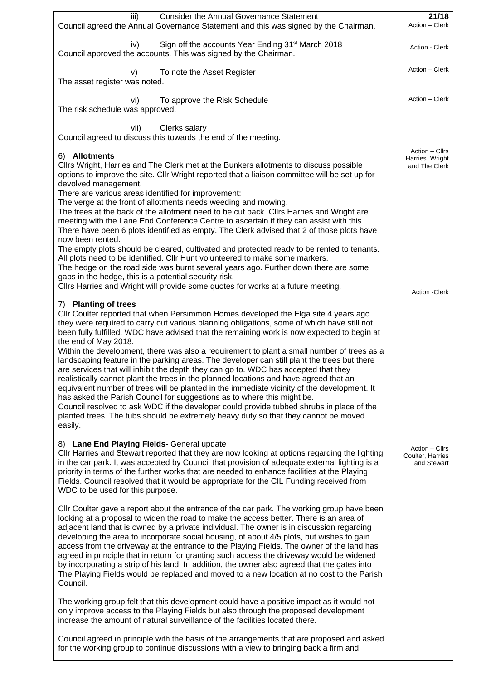| <b>Consider the Annual Governance Statement</b><br>iii)                                                                                                                                                                                                                                                                                                                                                                                                                                                                                                                                                                                                                                                                                                                           | 21/18                                              |
|-----------------------------------------------------------------------------------------------------------------------------------------------------------------------------------------------------------------------------------------------------------------------------------------------------------------------------------------------------------------------------------------------------------------------------------------------------------------------------------------------------------------------------------------------------------------------------------------------------------------------------------------------------------------------------------------------------------------------------------------------------------------------------------|----------------------------------------------------|
| Council agreed the Annual Governance Statement and this was signed by the Chairman.                                                                                                                                                                                                                                                                                                                                                                                                                                                                                                                                                                                                                                                                                               | Action - Clerk                                     |
| Sign off the accounts Year Ending 31 <sup>st</sup> March 2018<br>iv)<br>Council approved the accounts. This was signed by the Chairman.                                                                                                                                                                                                                                                                                                                                                                                                                                                                                                                                                                                                                                           | Action - Clerk                                     |
| To note the Asset Register<br>V)<br>The asset register was noted.                                                                                                                                                                                                                                                                                                                                                                                                                                                                                                                                                                                                                                                                                                                 | Action - Clerk                                     |
| To approve the Risk Schedule<br>vi)<br>The risk schedule was approved.                                                                                                                                                                                                                                                                                                                                                                                                                                                                                                                                                                                                                                                                                                            | Action - Clerk                                     |
| Clerks salary<br>vii)<br>Council agreed to discuss this towards the end of the meeting.                                                                                                                                                                                                                                                                                                                                                                                                                                                                                                                                                                                                                                                                                           |                                                    |
| 6) Allotments<br>Cllrs Wright, Harries and The Clerk met at the Bunkers allotments to discuss possible<br>options to improve the site. Cllr Wright reported that a liaison committee will be set up for<br>devolved management.                                                                                                                                                                                                                                                                                                                                                                                                                                                                                                                                                   | Action – Cllrs<br>Harries. Wright<br>and The Clerk |
| There are various areas identified for improvement:<br>The verge at the front of allotments needs weeding and mowing.<br>The trees at the back of the allotment need to be cut back. Cllrs Harries and Wright are<br>meeting with the Lane End Conference Centre to ascertain if they can assist with this.<br>There have been 6 plots identified as empty. The Clerk advised that 2 of those plots have<br>now been rented.                                                                                                                                                                                                                                                                                                                                                      |                                                    |
| The empty plots should be cleared, cultivated and protected ready to be rented to tenants.<br>All plots need to be identified. Cllr Hunt volunteered to make some markers.<br>The hedge on the road side was burnt several years ago. Further down there are some<br>gaps in the hedge, this is a potential security risk.<br>Cllrs Harries and Wright will provide some quotes for works at a future meeting.                                                                                                                                                                                                                                                                                                                                                                    |                                                    |
| 7) Planting of trees                                                                                                                                                                                                                                                                                                                                                                                                                                                                                                                                                                                                                                                                                                                                                              | <b>Action -Clerk</b>                               |
| Cllr Coulter reported that when Persimmon Homes developed the Elga site 4 years ago<br>they were required to carry out various planning obligations, some of which have still not<br>been fully fulfilled. WDC have advised that the remaining work is now expected to begin at<br>the end of May 2018.                                                                                                                                                                                                                                                                                                                                                                                                                                                                           |                                                    |
| Within the development, there was also a requirement to plant a small number of trees as a<br>landscaping feature in the parking areas. The developer can still plant the trees but there<br>are services that will inhibit the depth they can go to. WDC has accepted that they<br>realistically cannot plant the trees in the planned locations and have agreed that an<br>equivalent number of trees will be planted in the immediate vicinity of the development. It<br>has asked the Parish Council for suggestions as to where this might be.<br>Council resolved to ask WDC if the developer could provide tubbed shrubs in place of the<br>planted trees. The tubs should be extremely heavy duty so that they cannot be moved<br>easily.                                 |                                                    |
| 8) Lane End Playing Fields- General update<br>CIIr Harries and Stewart reported that they are now looking at options regarding the lighting<br>in the car park. It was accepted by Council that provision of adequate external lighting is a<br>priority in terms of the further works that are needed to enhance facilities at the Playing<br>Fields. Council resolved that it would be appropriate for the CIL Funding received from<br>WDC to be used for this purpose.                                                                                                                                                                                                                                                                                                        | Action – Cllrs<br>Coulter, Harries<br>and Stewart  |
| Cllr Coulter gave a report about the entrance of the car park. The working group have been<br>looking at a proposal to widen the road to make the access better. There is an area of<br>adjacent land that is owned by a private individual. The owner is in discussion regarding<br>developing the area to incorporate social housing, of about 4/5 plots, but wishes to gain<br>access from the driveway at the entrance to the Playing Fields. The owner of the land has<br>agreed in principle that in return for granting such access the driveway would be widened<br>by incorporating a strip of his land. In addition, the owner also agreed that the gates into<br>The Playing Fields would be replaced and moved to a new location at no cost to the Parish<br>Council. |                                                    |
| The working group felt that this development could have a positive impact as it would not<br>only improve access to the Playing Fields but also through the proposed development<br>increase the amount of natural surveillance of the facilities located there.                                                                                                                                                                                                                                                                                                                                                                                                                                                                                                                  |                                                    |
| Council agreed in principle with the basis of the arrangements that are proposed and asked<br>for the working group to continue discussions with a view to bringing back a firm and                                                                                                                                                                                                                                                                                                                                                                                                                                                                                                                                                                                               |                                                    |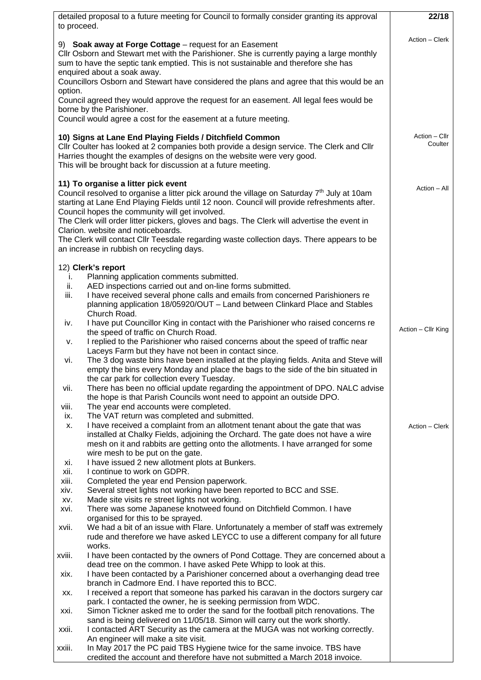| detailed proposal to a future meeting for Council to formally consider granting its approval                                                                                                                                                                                                                                                                          | 22/18                    |
|-----------------------------------------------------------------------------------------------------------------------------------------------------------------------------------------------------------------------------------------------------------------------------------------------------------------------------------------------------------------------|--------------------------|
| to proceed.                                                                                                                                                                                                                                                                                                                                                           |                          |
| 9) Soak away at Forge Cottage - request for an Easement<br>Cllr Osborn and Stewart met with the Parishioner. She is currently paying a large monthly<br>sum to have the septic tank emptied. This is not sustainable and therefore she has<br>enquired about a soak away.<br>Councillors Osborn and Stewart have considered the plans and agree that this would be an | Action - Clerk           |
| option.                                                                                                                                                                                                                                                                                                                                                               |                          |
| Council agreed they would approve the request for an easement. All legal fees would be                                                                                                                                                                                                                                                                                |                          |
| borne by the Parishioner.<br>Council would agree a cost for the easement at a future meeting.                                                                                                                                                                                                                                                                         |                          |
| 10) Signs at Lane End Playing Fields / Ditchfield Common<br>Cllr Coulter has looked at 2 companies both provide a design service. The Clerk and Cllr<br>Harries thought the examples of designs on the website were very good.<br>This will be brought back for discussion at a future meeting.                                                                       | Action - Cllr<br>Coulter |
| 11) To organise a litter pick event                                                                                                                                                                                                                                                                                                                                   | Action - All             |
| Council resolved to organise a litter pick around the village on Saturday 7 <sup>th</sup> July at 10am<br>starting at Lane End Playing Fields until 12 noon. Council will provide refreshments after.<br>Council hopes the community will get involved.                                                                                                               |                          |
| The Clerk will order litter pickers, gloves and bags. The Clerk will advertise the event in                                                                                                                                                                                                                                                                           |                          |
| Clarion. website and noticeboards.<br>The Clerk will contact Cllr Teesdale regarding waste collection days. There appears to be<br>an increase in rubbish on recycling days.                                                                                                                                                                                          |                          |
|                                                                                                                                                                                                                                                                                                                                                                       |                          |
| 12) Clerk's report<br>Planning application comments submitted.<br>i.                                                                                                                                                                                                                                                                                                  |                          |
| AED inspections carried out and on-line forms submitted.<br>ii.                                                                                                                                                                                                                                                                                                       |                          |
| I have received several phone calls and emails from concerned Parishioners re<br>iii.<br>planning application 18/05920/OUT - Land between Clinkard Place and Stables<br>Church Road.                                                                                                                                                                                  |                          |
| I have put Councillor King in contact with the Parishioner who raised concerns re<br>iv.<br>the speed of traffic on Church Road.                                                                                                                                                                                                                                      | Action - Cllr King       |
| I replied to the Parishioner who raised concerns about the speed of traffic near<br>v.<br>Laceys Farm but they have not been in contact since.                                                                                                                                                                                                                        |                          |
| The 3 dog waste bins have been installed at the playing fields. Anita and Steve will<br>vi.<br>empty the bins every Monday and place the bags to the side of the bin situated in                                                                                                                                                                                      |                          |
| the car park for collection every Tuesday.                                                                                                                                                                                                                                                                                                                            |                          |
| There has been no official update regarding the appointment of DPO. NALC advise<br>vii.                                                                                                                                                                                                                                                                               |                          |
| the hope is that Parish Councils wont need to appoint an outside DPO.<br>The year end accounts were completed.<br>viii.                                                                                                                                                                                                                                               |                          |
| The VAT return was completed and submitted.<br>ix.                                                                                                                                                                                                                                                                                                                    |                          |
| I have received a complaint from an allotment tenant about the gate that was<br>х.<br>installed at Chalky Fields, adjoining the Orchard. The gate does not have a wire                                                                                                                                                                                                | Action - Clerk           |
| mesh on it and rabbits are getting onto the allotments. I have arranged for some<br>wire mesh to be put on the gate.                                                                                                                                                                                                                                                  |                          |
| I have issued 2 new allotment plots at Bunkers.<br>Xİ.                                                                                                                                                                                                                                                                                                                |                          |
| I continue to work on GDPR.<br>xii.                                                                                                                                                                                                                                                                                                                                   |                          |
| Completed the year end Pension paperwork.<br>xiii.                                                                                                                                                                                                                                                                                                                    |                          |
| Several street lights not working have been reported to BCC and SSE.<br>xiv.<br>Made site visits re street lights not working.                                                                                                                                                                                                                                        |                          |
| XV.<br>There was some Japanese knotweed found on Ditchfield Common. I have<br>xvi.                                                                                                                                                                                                                                                                                    |                          |
| organised for this to be sprayed.<br>We had a bit of an issue with Flare. Unfortunately a member of staff was extremely<br>xvii.<br>rude and therefore we have asked LEYCC to use a different company for all future                                                                                                                                                  |                          |
| works.<br>I have been contacted by the owners of Pond Cottage. They are concerned about a<br>xviii.                                                                                                                                                                                                                                                                   |                          |
| dead tree on the common. I have asked Pete Whipp to look at this.<br>I have been contacted by a Parishioner concerned about a overhanging dead tree<br>xix.                                                                                                                                                                                                           |                          |
| branch in Cadmore End. I have reported this to BCC.<br>I received a report that someone has parked his caravan in the doctors surgery car                                                                                                                                                                                                                             |                          |
| XX.<br>park. I contacted the owner, he is seeking permission from WDC.                                                                                                                                                                                                                                                                                                |                          |
| Simon Tickner asked me to order the sand for the football pitch renovations. The<br>xxi.<br>sand is being delivered on 11/05/18. Simon will carry out the work shortly.                                                                                                                                                                                               |                          |
| I contacted ART Security as the camera at the MUGA was not working correctly.<br>xxii.                                                                                                                                                                                                                                                                                |                          |
| An engineer will make a site visit.<br>In May 2017 the PC paid TBS Hygiene twice for the same invoice. TBS have<br>xxiii.                                                                                                                                                                                                                                             |                          |
| credited the account and therefore have not submitted a March 2018 invoice.                                                                                                                                                                                                                                                                                           |                          |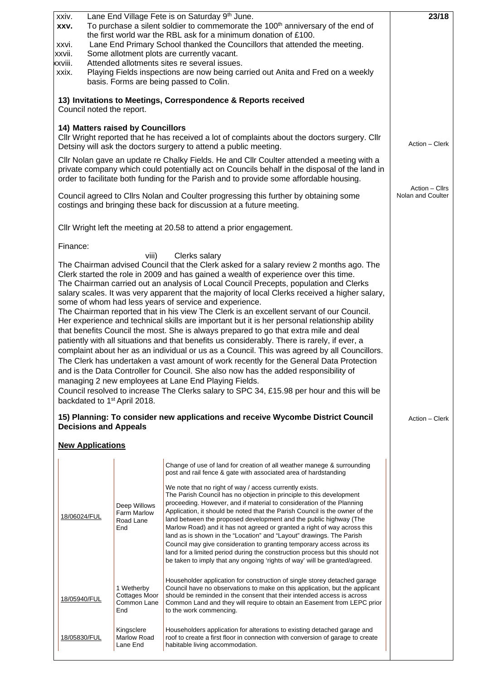| Lane End Village Fete is on Saturday 9th June.<br>xxiv.<br>To purchase a silent soldier to commemorate the 100 <sup>th</sup> anniversary of the end of<br>XXV.<br>the first world war the RBL ask for a minimum donation of £100.<br>Lane End Primary School thanked the Councillors that attended the meeting.<br>xxvi.<br>Some allotment plots are currently vacant.<br>xxvii.<br>Attended allotments sites re several issues.<br>xxviii.<br>Playing Fields inspections are now being carried out Anita and Fred on a weekly<br>xxix.<br>basis. Forms are being passed to Colin.                                                                                                                                                                                                                                                                                                                                                                                                                                                                                                                                                                                                                                                                                                                                                                                                                                                        |                                                                                                                                                                                                                                                                                       |                                                   |                                                                                                                                                                                                                                                                                                                                                                                                                                                                                                                                                                                                                                                                                                                                                                                                                                                                                                        | 23/18 |  |
|-------------------------------------------------------------------------------------------------------------------------------------------------------------------------------------------------------------------------------------------------------------------------------------------------------------------------------------------------------------------------------------------------------------------------------------------------------------------------------------------------------------------------------------------------------------------------------------------------------------------------------------------------------------------------------------------------------------------------------------------------------------------------------------------------------------------------------------------------------------------------------------------------------------------------------------------------------------------------------------------------------------------------------------------------------------------------------------------------------------------------------------------------------------------------------------------------------------------------------------------------------------------------------------------------------------------------------------------------------------------------------------------------------------------------------------------|---------------------------------------------------------------------------------------------------------------------------------------------------------------------------------------------------------------------------------------------------------------------------------------|---------------------------------------------------|--------------------------------------------------------------------------------------------------------------------------------------------------------------------------------------------------------------------------------------------------------------------------------------------------------------------------------------------------------------------------------------------------------------------------------------------------------------------------------------------------------------------------------------------------------------------------------------------------------------------------------------------------------------------------------------------------------------------------------------------------------------------------------------------------------------------------------------------------------------------------------------------------------|-------|--|
|                                                                                                                                                                                                                                                                                                                                                                                                                                                                                                                                                                                                                                                                                                                                                                                                                                                                                                                                                                                                                                                                                                                                                                                                                                                                                                                                                                                                                                           | 13) Invitations to Meetings, Correspondence & Reports received<br>Council noted the report.                                                                                                                                                                                           |                                                   |                                                                                                                                                                                                                                                                                                                                                                                                                                                                                                                                                                                                                                                                                                                                                                                                                                                                                                        |       |  |
|                                                                                                                                                                                                                                                                                                                                                                                                                                                                                                                                                                                                                                                                                                                                                                                                                                                                                                                                                                                                                                                                                                                                                                                                                                                                                                                                                                                                                                           | 14) Matters raised by Councillors<br>Cllr Wright reported that he has received a lot of complaints about the doctors surgery. Cllr<br>Detsiny will ask the doctors surgery to attend a public meeting.                                                                                | Action - Clerk                                    |                                                                                                                                                                                                                                                                                                                                                                                                                                                                                                                                                                                                                                                                                                                                                                                                                                                                                                        |       |  |
|                                                                                                                                                                                                                                                                                                                                                                                                                                                                                                                                                                                                                                                                                                                                                                                                                                                                                                                                                                                                                                                                                                                                                                                                                                                                                                                                                                                                                                           | CIIr Nolan gave an update re Chalky Fields. He and CIIr Coulter attended a meeting with a<br>private company which could potentially act on Councils behalf in the disposal of the land in<br>order to facilitate both funding for the Parish and to provide some affordable housing. |                                                   |                                                                                                                                                                                                                                                                                                                                                                                                                                                                                                                                                                                                                                                                                                                                                                                                                                                                                                        |       |  |
| Council agreed to Cllrs Nolan and Coulter progressing this further by obtaining some<br>costings and bringing these back for discussion at a future meeting.                                                                                                                                                                                                                                                                                                                                                                                                                                                                                                                                                                                                                                                                                                                                                                                                                                                                                                                                                                                                                                                                                                                                                                                                                                                                              |                                                                                                                                                                                                                                                                                       |                                                   |                                                                                                                                                                                                                                                                                                                                                                                                                                                                                                                                                                                                                                                                                                                                                                                                                                                                                                        |       |  |
|                                                                                                                                                                                                                                                                                                                                                                                                                                                                                                                                                                                                                                                                                                                                                                                                                                                                                                                                                                                                                                                                                                                                                                                                                                                                                                                                                                                                                                           |                                                                                                                                                                                                                                                                                       |                                                   | Cllr Wright left the meeting at 20.58 to attend a prior engagement.                                                                                                                                                                                                                                                                                                                                                                                                                                                                                                                                                                                                                                                                                                                                                                                                                                    |       |  |
| Finance:<br>Clerks salary<br>viii)<br>The Chairman advised Council that the Clerk asked for a salary review 2 months ago. The<br>Clerk started the role in 2009 and has gained a wealth of experience over this time.<br>The Chairman carried out an analysis of Local Council Precepts, population and Clerks<br>salary scales. It was very apparent that the majority of local Clerks received a higher salary,<br>some of whom had less years of service and experience.<br>The Chairman reported that in his view The Clerk is an excellent servant of our Council.<br>Her experience and technical skills are important but it is her personal relationship ability<br>that benefits Council the most. She is always prepared to go that extra mile and deal<br>patiently with all situations and that benefits us considerably. There is rarely, if ever, a<br>complaint about her as an individual or us as a Council. This was agreed by all Councillors.<br>The Clerk has undertaken a vast amount of work recently for the General Data Protection<br>and is the Data Controller for Council. She also now has the added responsibility of<br>managing 2 new employees at Lane End Playing Fields.<br>Council resolved to increase The Clerks salary to SPC 34, £15.98 per hour and this will be<br>backdated to 1 <sup>st</sup> April 2018.<br>15) Planning: To consider new applications and receive Wycombe District Council |                                                                                                                                                                                                                                                                                       |                                                   |                                                                                                                                                                                                                                                                                                                                                                                                                                                                                                                                                                                                                                                                                                                                                                                                                                                                                                        |       |  |
|                                                                                                                                                                                                                                                                                                                                                                                                                                                                                                                                                                                                                                                                                                                                                                                                                                                                                                                                                                                                                                                                                                                                                                                                                                                                                                                                                                                                                                           | <b>Decisions and Appeals</b><br><b>New Applications</b>                                                                                                                                                                                                                               |                                                   |                                                                                                                                                                                                                                                                                                                                                                                                                                                                                                                                                                                                                                                                                                                                                                                                                                                                                                        |       |  |
|                                                                                                                                                                                                                                                                                                                                                                                                                                                                                                                                                                                                                                                                                                                                                                                                                                                                                                                                                                                                                                                                                                                                                                                                                                                                                                                                                                                                                                           | 18/06024/FUL                                                                                                                                                                                                                                                                          | Deep Willows<br>Farm Marlow<br>Road Lane<br>End   | Change of use of land for creation of all weather manege & surrounding<br>post and rail fence & gate with associated area of hardstanding<br>We note that no right of way / access currently exists.<br>The Parish Council has no objection in principle to this development<br>proceeding. However, and if material to consideration of the Planning<br>Application, it should be noted that the Parish Council is the owner of the<br>land between the proposed development and the public highway (The<br>Marlow Road) and it has not agreed or granted a right of way across this<br>land as is shown in the "Location" and "Layout" drawings. The Parish<br>Council may give consideration to granting temporary access across its<br>land for a limited period during the construction process but this should not<br>be taken to imply that any ongoing 'rights of way' will be granted/agreed. |       |  |
|                                                                                                                                                                                                                                                                                                                                                                                                                                                                                                                                                                                                                                                                                                                                                                                                                                                                                                                                                                                                                                                                                                                                                                                                                                                                                                                                                                                                                                           | 18/05940/FUL                                                                                                                                                                                                                                                                          | 1 Wetherby<br>Cottages Moor<br>Common Lane<br>End | Householder application for construction of single storey detached garage<br>Council have no observations to make on this application, but the applicant<br>should be reminded in the consent that their intended access is across<br>Common Land and they will require to obtain an Easement from LEPC prior<br>to the work commencing.                                                                                                                                                                                                                                                                                                                                                                                                                                                                                                                                                               |       |  |
|                                                                                                                                                                                                                                                                                                                                                                                                                                                                                                                                                                                                                                                                                                                                                                                                                                                                                                                                                                                                                                                                                                                                                                                                                                                                                                                                                                                                                                           | 18/05830/FUL                                                                                                                                                                                                                                                                          | Kingsclere<br>Marlow Road<br>Lane End             | Householders application for alterations to existing detached garage and<br>roof to create a first floor in connection with conversion of garage to create<br>habitable living accommodation.                                                                                                                                                                                                                                                                                                                                                                                                                                                                                                                                                                                                                                                                                                          |       |  |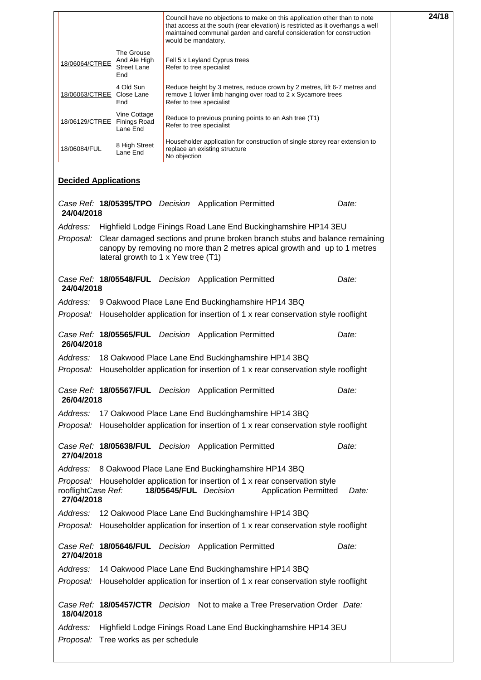|                                      |                                                  |              | Council have no objections to make on this application other than to note<br>that access at the south (rear elevation) is restricted as it overhangs a well<br>maintained communal garden and careful consideration for construction<br>would be mandatory. | 24/18 |
|--------------------------------------|--------------------------------------------------|--------------|-------------------------------------------------------------------------------------------------------------------------------------------------------------------------------------------------------------------------------------------------------------|-------|
| 18/06064/CTREE                       | The Grouse<br>And Ale High<br>Street Lane<br>End |              | Fell 5 x Leyland Cyprus trees<br>Refer to tree specialist                                                                                                                                                                                                   |       |
| 18/06063/CTREE                       | 4 Old Sun<br>Close Lane<br>End                   |              | Reduce height by 3 metres, reduce crown by 2 metres, lift 6-7 metres and<br>remove 1 lower limb hanging over road to 2 x Sycamore trees<br>Refer to tree specialist                                                                                         |       |
| 18/06129/CTREE                       | Vine Cottage<br><b>Finings Road</b><br>Lane End  |              | Reduce to previous pruning points to an Ash tree (T1)<br>Refer to tree specialist                                                                                                                                                                           |       |
| 18/06084/FUL                         | 8 High Street<br>Lane End                        | No objection | Householder application for construction of single storey rear extension to<br>replace an existing structure                                                                                                                                                |       |
| <b>Decided Applications</b>          |                                                  |              |                                                                                                                                                                                                                                                             |       |
| 24/04/2018                           |                                                  |              | Case Ref: 18/05395/TPO Decision Application Permitted                                                                                                                                                                                                       | Date: |
| Address:                             |                                                  |              | Highfield Lodge Finings Road Lane End Buckinghamshire HP14 3EU                                                                                                                                                                                              |       |
|                                      | lateral growth to 1 x Yew tree (T1)              |              | Proposal: Clear damaged sections and prune broken branch stubs and balance remaining<br>canopy by removing no more than 2 metres apical growth and up to 1 metres                                                                                           |       |
| 24/04/2018                           |                                                  |              | Case Ref: 18/05548/FUL Decision Application Permitted                                                                                                                                                                                                       | Date: |
| Address:                             |                                                  |              | 9 Oakwood Place Lane End Buckinghamshire HP14 3BQ                                                                                                                                                                                                           |       |
|                                      |                                                  |              | <i>Proposal:</i> Householder application for insertion of 1 x rear conservation style rooflight                                                                                                                                                             |       |
| 26/04/2018                           |                                                  |              | Case Ref: 18/05565/FUL Decision Application Permitted                                                                                                                                                                                                       | Date: |
| Address:                             |                                                  |              | 18 Oakwood Place Lane End Buckinghamshire HP14 3BQ                                                                                                                                                                                                          |       |
|                                      |                                                  |              | <i>Proposal:</i> Householder application for insertion of 1 x rear conservation style rooflight                                                                                                                                                             |       |
| 26/04/2018                           |                                                  |              | Case Ref: 18/05567/FUL Decision Application Permitted                                                                                                                                                                                                       | Date: |
| Address:                             |                                                  |              | 17 Oakwood Place Lane End Buckinghamshire HP14 3BQ                                                                                                                                                                                                          |       |
|                                      |                                                  |              | <i>Proposal:</i> Householder application for insertion of 1 x rear conservation style rooflight                                                                                                                                                             |       |
| 27/04/2018                           |                                                  |              | Case Ref: 18/05638/FUL Decision Application Permitted                                                                                                                                                                                                       | Date: |
| Address:                             |                                                  |              | 8 Oakwood Place Lane End Buckinghamshire HP14 3BQ                                                                                                                                                                                                           |       |
| rooflightCase Ref:<br>27/04/2018     |                                                  |              | Proposal: Householder application for insertion of 1 x rear conservation style<br>18/05645/FUL Decision<br><b>Application Permitted</b>                                                                                                                     | Date: |
| Address:                             |                                                  |              | 12 Oakwood Place Lane End Buckinghamshire HP14 3BQ                                                                                                                                                                                                          |       |
|                                      |                                                  |              | <i>Proposal:</i> Householder application for insertion of 1 x rear conservation style rooflight                                                                                                                                                             |       |
| 27/04/2018                           |                                                  |              | Case Ref: 18/05646/FUL Decision Application Permitted                                                                                                                                                                                                       | Date: |
| Address:                             |                                                  |              | 14 Oakwood Place Lane End Buckinghamshire HP14 3BQ                                                                                                                                                                                                          |       |
|                                      |                                                  |              | <i>Proposal:</i> Householder application for insertion of 1 x rear conservation style rooflight                                                                                                                                                             |       |
| 18/04/2018                           |                                                  |              | Case Ref: 18/05457/CTR Decision Not to make a Tree Preservation Order Date:                                                                                                                                                                                 |       |
| Address:                             |                                                  |              | Highfield Lodge Finings Road Lane End Buckinghamshire HP14 3EU                                                                                                                                                                                              |       |
| Proposal: Tree works as per schedule |                                                  |              |                                                                                                                                                                                                                                                             |       |